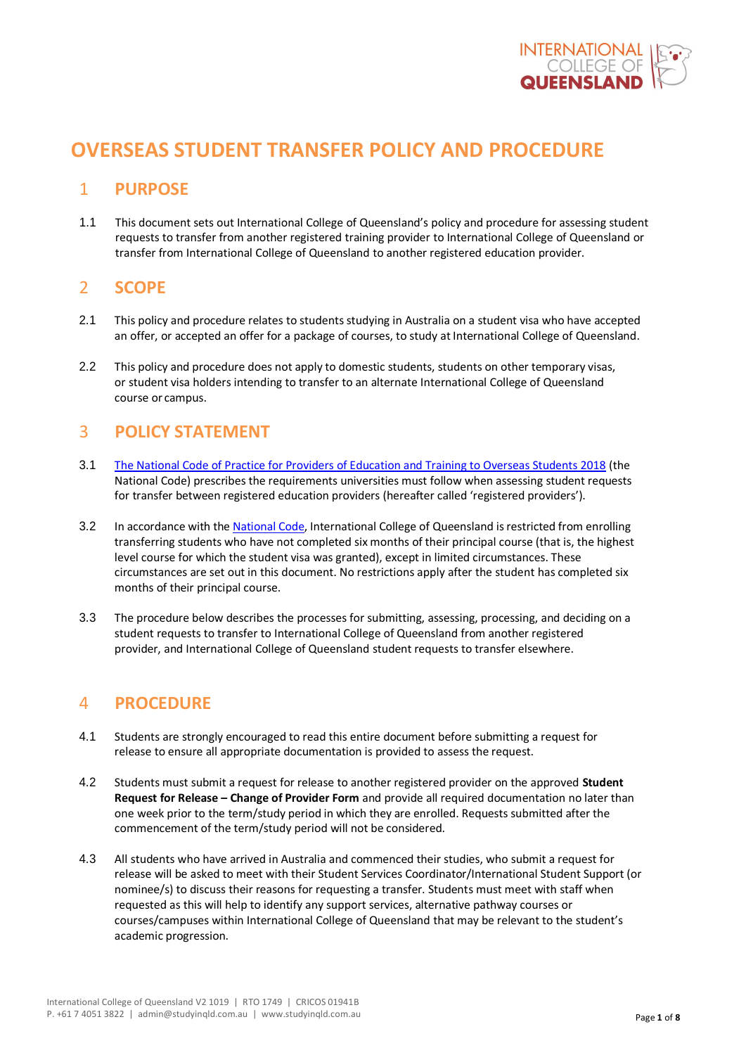

# **OVERSEAS STUDENT TRANSFER POLICY AND PROCEDURE**

# 1 **PURPOSE**

1.1 This document sets out International College of Queensland's policy and procedure for assessing student requests to transfer from another registered training provider to International College of Queensland or transfer from International College of Queensland to another registered education provider.

# 2 **SCOPE**

- 2.1 This policy and procedure relates to students studying in Australia on a student visa who have accepted an offer, or accepted an offer for a package of courses, to study at International College of Queensland.
- 2.2 This policy and procedure does not apply to domestic students, students on other temporary visas, or student visa holders intending to transfer to an alternate International College of Queensland course or campus.

# 3 **POLICY STATEMENT**

- 3.1 [The National Code of Practice for Providers of Education and Training to Overseas Students 2018](https://www.legislation.gov.au/Browse/ByTitle/LegislativeInstruments/InForce/0/0/Principal) (the National Code) prescribes the requirements universities must follow when assessing student requests for transfer between registered education providers (hereafter called 'registered providers').
- 3.2 In accordance with the [National](https://www.legislation.gov.au/Browse/ByTitle/LegislativeInstruments/InForce/0/0/Principal) Code, International College of Queensland is restricted from enrolling transferring students who have not completed six months of their principal course (that is, the highest level course for which the student visa was granted), except in limited circumstances. These circumstances are set out in this document. No restrictions apply after the student has completed six months of their principal course.
- 3.3 The procedure below describes the processes for submitting, assessing, processing, and deciding on a student requests to transfer to International College of Queensland from another registered provider, and International College of Queensland student requests to transfer elsewhere.

# 4 **PROCEDURE**

- 4.1 Students are strongly encouraged to read this entire document before submitting a request for release to ensure all appropriate documentation is provided to assess the request.
- 4.2 Students must submit a request for release to another registered provider on the approved **Student Request for Release – Change of Provider Form** and provide all required documentation no later than one week prior to the term/study period in which they are enrolled. Requests submitted after the commencement of the term/study period will not be considered.
- 4.3 All students who have arrived in Australia and commenced their studies, who submit a request for release will be asked to meet with their Student Services Coordinator/International Student Support (or nominee/s) to discuss their reasons for requesting a transfer. Students must meet with staff when requested as this will help to identify any support services, alternative pathway courses or courses/campuses within International College of Queensland that may be relevant to the student's academic progression.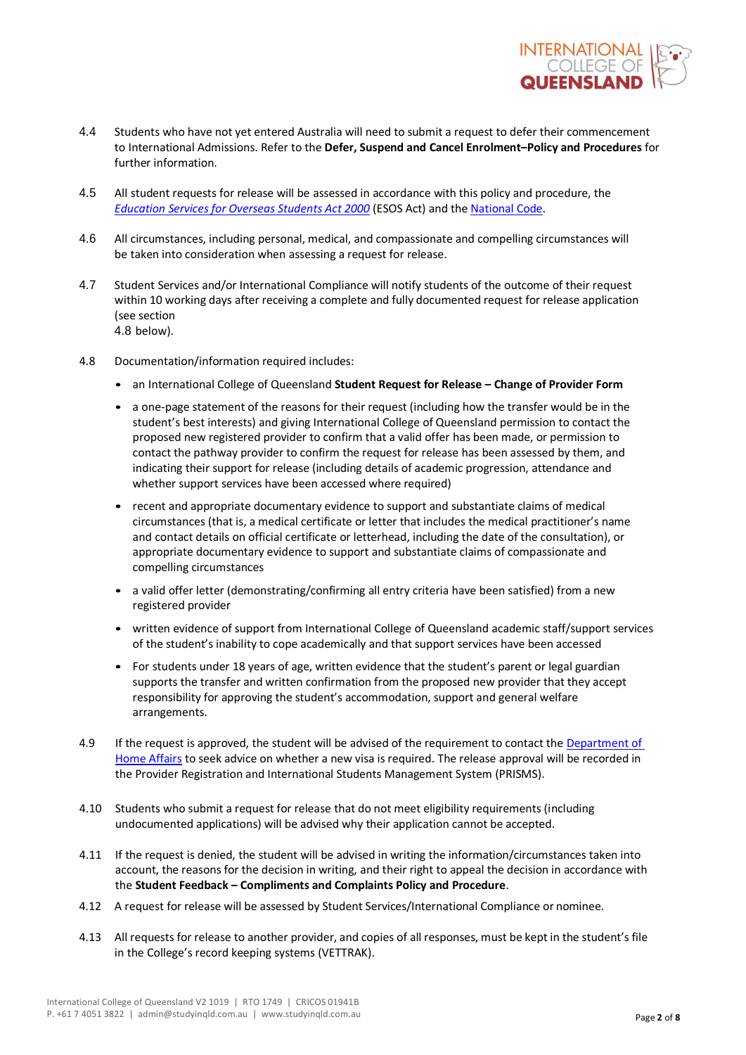

- 4.4 Students who have not yet entered Australia will need to submit a request to defer their commencement to International Admissions. Refer to the **Defer, Suspend and Cancel Enrolment–Policy and Procedures** for further information.
- 4.5 All student requests for release will be assessed in accordance with this policy and procedure, the *[Education](https://www.legislation.gov.au/Browse/ByTitle/LegislativeInstruments/InForce/0/0/Principal) [Services for Overseas Students Act 2000](https://www.legislation.gov.au/Browse/ByTitle/LegislativeInstruments/InForce/0/0/Principal)* (ESOS Act) and the [National](https://www.legislation.gov.au/Browse/ByTitle/LegislativeInstruments/InForce/0/0/Principal) Code.
- 4.6 All circumstances, including personal, medical, and compassionate and compelling circumstances will be taken into consideration when assessing a request for release.
- 4.7 Student Services and/or International Compliance will notify students of the outcome of their request within 10 working days after receiving a complete and fully documented request for release application (see section 4.8 below).
- 4.8 Documentation/information required includes:
	- an International College of Queensland **Student Request for Release – Change of Provider Form**
	- a one-page statement of the reasons for their request (including how the transfer would be in the student's best interests) and giving International College of Queensland permission to contact the proposed new registered provider to confirm that a valid offer has been made, or permission to contact the pathway provider to confirm the request for release has been assessed by them, and indicating their support for release (including details of academic progression, attendance and whether support services have been accessed where required)
	- recent and appropriate documentary evidence to support and substantiate claims of medical circumstances (that is, a medical certificate or letter that includes the medical practitioner's name and contact details on official certificate or letterhead, including the date of the consultation), or appropriate documentary evidence to support and substantiate claims of compassionate and compelling circumstances
	- a valid offer letter (demonstrating/confirming all entry criteria have been satisfied) from a new registered provider
	- written evidence of support from International College of Queensland academic staff/support services of the student's inability to cope academically and that support services have been accessed
	- For students under 18 years of age, written evidence that the student's parent or legal guardian supports the transfer and written confirmation from the proposed new provider that they accept responsibility for approving the student's accommodation, support and general welfare arrangements.
- 4.9 If the request is approved, the student will be advised of the requirement to contact the Department of [Home](https://www.homeaffairs.gov.au/) [Affairs](https://www.homeaffairs.gov.au/) to seek advice on whether a new visa is required. The release approval will be recorded in the Provider Registration and International Students Management System (PRISMS).
- 4.10 Students who submit a request for release that do not meet eligibility requirements (including undocumented applications) will be advised why their application cannot be accepted.
- 4.11 If the request is denied, the student will be advised in writing the information/circumstances taken into account, the reasons for the decision in writing, and their right to appeal the decision in accordance with the **Student Feedback – Compliments and Complaints Policy and Procedure**.
- 4.12 A request for release will be assessed by Student Services/International Compliance or nominee.
- 4.13 All requests for release to another provider, and copies of all responses, must be kept in the student's file in the College's record keeping systems (VETTRAK).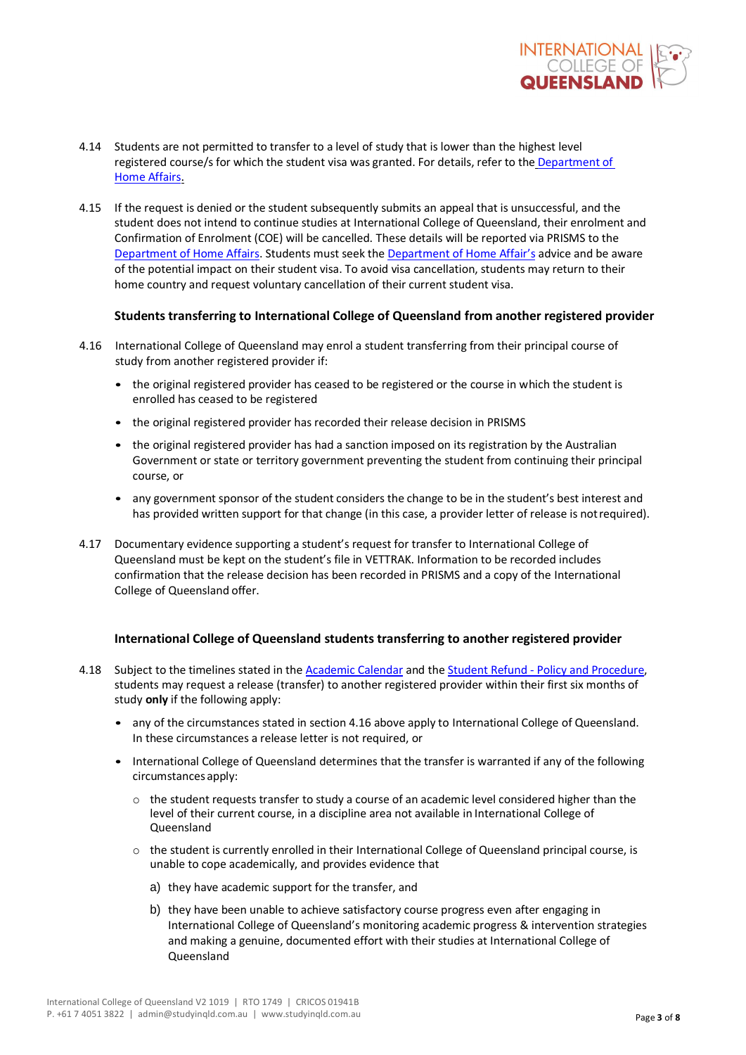

- 4.14 Students are not permitted to transfer to a level of study that is lower than the highest level registered course/s for which the student visa was granted. For details, refer to the [Department](https://www.homeaffairs.gov.au/) of Home [Affairs.](https://www.homeaffairs.gov.au/)
- 4.15 If the request is denied or the student subsequently submits an appeal that is unsuccessful, and the student does not intend to continue studies at International College of Queensland, their enrolment and Confirmation of Enrolment (COE) will be cancelled. These details will be reported via PRISMS to the [Department of Home Affairs. S](https://www.homeaffairs.gov.au/)tudents must seek the [Department of Home Affair's](https://www.homeaffairs.gov.au/) advice and be aware of the potential impact on their student visa. To avoid visa cancellation, students may return to their home country and request voluntary cancellation of their current student visa.

### **Students transferring to International College of Queensland from another registered provider**

- 4.16 International College of Queensland may enrol a student transferring from their principal course of study from another registered provider if:
	- the original registered provider has ceased to be registered or the course in which the student is enrolled has ceased to be registered
	- the original registered provider has recorded their release decision in PRISMS
	- the original registered provider has had a sanction imposed on its registration by the Australian Government or state or territory government preventing the student from continuing their principal course, or
	- any government sponsor of the student considers the change to be in the student's best interest and has provided written support for that change (in this case, a provider letter of release is notrequired).
- 4.17 Documentary evidence supporting a student's request for transfer to International College of Queensland must be kept on the student's file in VETTRAK. Information to be recorded includes confirmation that the release decision has been recorded in PRISMS and a copy of the International College of Queensland offer.

### **International College of Queensland students transferring to another registered provider**

- 4.18 Subject to the timelines stated in the Academic Calendar and the Student Refund Policy [and Procedure,](https://www.cqu.edu.au/policy)  students may request a release (transfer) to another registered provider within their first six months of study **only** if the following apply:
	- any of the circumstances stated in section 4.16 above apply to International College of Queensland. In these circumstances a release letter is not required, or
	- International College of Queensland determines that the transfer is warranted if any of the following circumstancesapply:
		- $\circ$  the student requests transfer to study a course of an academic level considered higher than the level of their current course, in a discipline area not available in International College of Queensland
		- $\circ$  the student is currently enrolled in their International College of Queensland principal course, is unable to cope academically, and provides evidence that
			- a) they have academic support for the transfer, and
			- b) they have been unable to achieve satisfactory course progress even after engaging in International College of Queensland's monitoring academic progress & intervention strategies and making a genuine, documented effort with their studies at International College of Queensland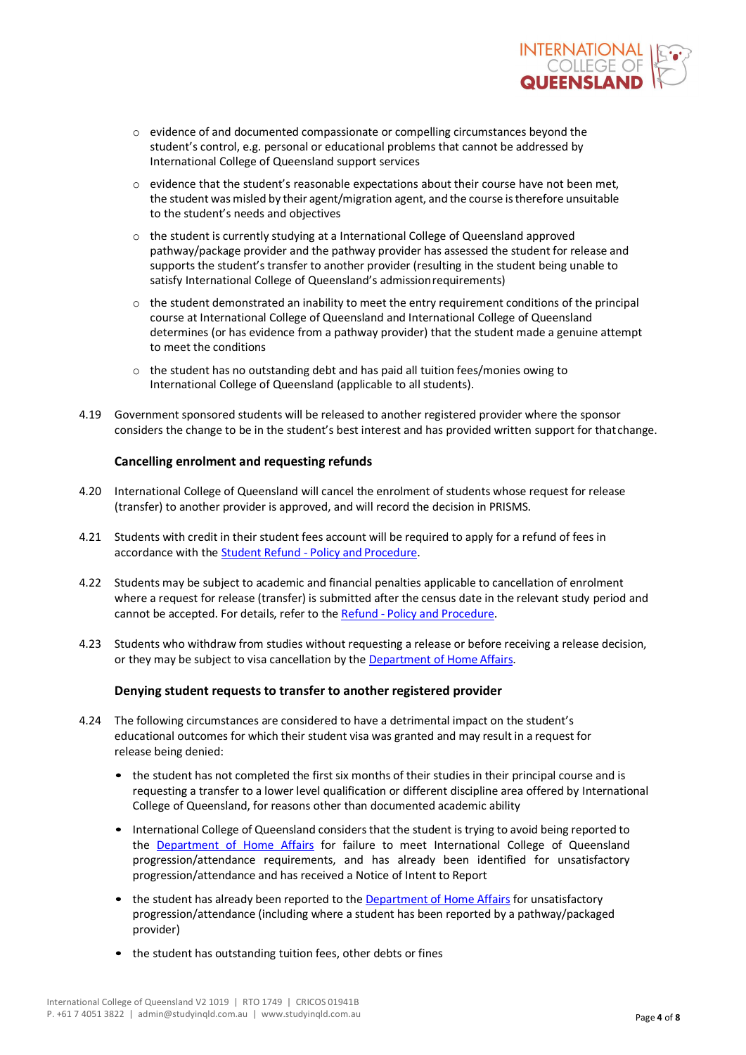

- o evidence of and documented compassionate or compelling circumstances beyond the student's control, e.g. personal or educational problems that cannot be addressed by International College of Queensland support services
- o evidence that the student's reasonable expectations about their course have not been met, the student was misled by their agent/migration agent, and the course is therefore unsuitable to the student's needs and objectives
- $\circ$  the student is currently studying at a International College of Queensland approved pathway/package provider and the pathway provider has assessed the student for release and supports the student's transfer to another provider (resulting in the student being unable to satisfy International College of Queensland's admissionrequirements)
- o the student demonstrated an inability to meet the entry requirement conditions of the principal course at International College of Queensland and International College of Queensland determines (or has evidence from a pathway provider) that the student made a genuine attempt to meet the conditions
- $\circ$  the student has no outstanding debt and has paid all tuition fees/monies owing to International College of Queensland (applicable to all students).
- 4.19 Government sponsored students will be released to another registered provider where the sponsor considers the change to be in the student's best interest and has provided written support for thatchange.

### **Cancelling enrolment and requesting refunds**

- 4.20 International College of Queensland will cancel the enrolment of students whose request for release (transfer) to another provider is approved, and will record the decision in PRISMS.
- 4.21 Students with credit in their student fees account will be required to apply for a refund of fees in accordance with the Student Refund - Policy and Procedure.
- 4.22 Students may be subject to academic and financial penalties applicable to cancellation of enrolment where a request for release (transfer) is submitted after the census date in the relevant study period and cannot be accepted. For details, refer to the Refund - Policy and Procedure.
- 4.23 Students who withdraw from studies without requesting a release or before receiving a release decision, or they may be subject to visa cancellation by the [Department of Home](https://www.homeaffairs.gov.au/) Affairs.

### **Denying student requests to transfer to another registered provider**

- 4.24 The following circumstances are considered to have a detrimental impact on the student's educational outcomes for which their student visa was granted and may result in a request for release being denied:
	- the student has not completed the first six months of their studies in their principal course and is requesting a transfer to a lower level qualification or different discipline area offered by International College of Queensland, for reasons other than documented academic ability
	- International College of Queensland considers that the student is trying to avoid being reported to the [Department of Home](https://www.homeaffairs.gov.au/) [Affairs](https://www.homeaffairs.gov.au/) for failure to meet International College of Queensland progression/attendance requirements, and has already been identified for unsatisfactory progression/attendance and has received a Notice of Intent to Report
	- the student has already been reported to the [Department of Home Affairs](https://www.homeaffairs.gov.au/) for unsatisfactory progression/attendance (including where a student has been reported by a pathway/packaged provider)
	- the student has outstanding tuition fees, other debts or fines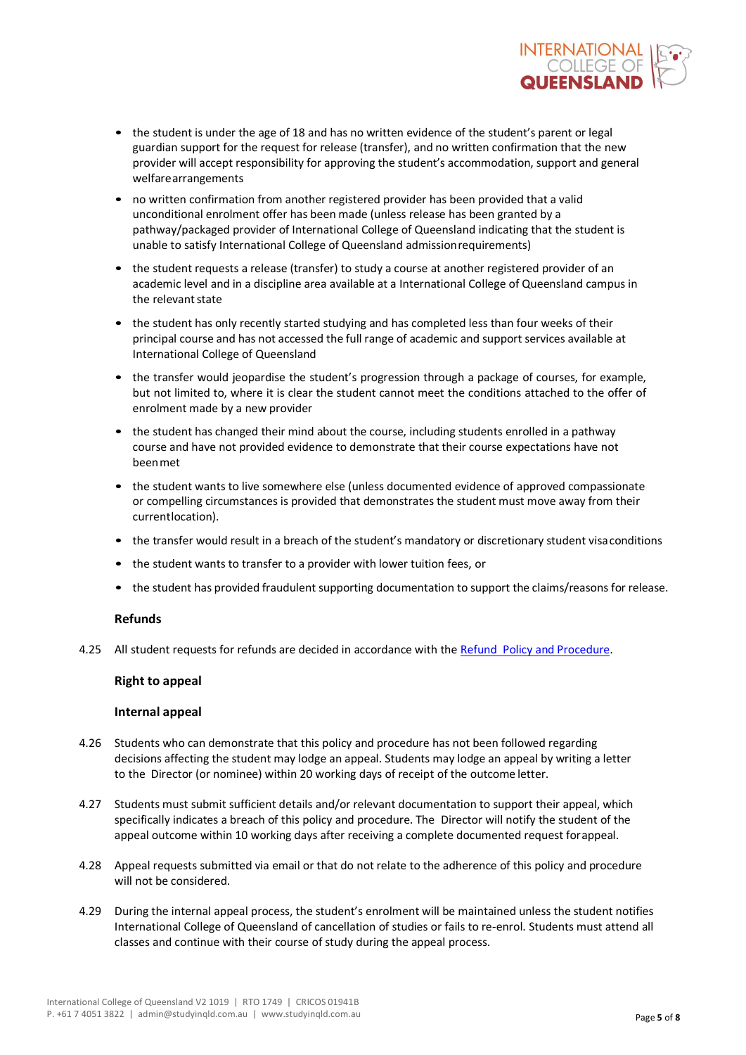

- the student is under the age of 18 and has no written evidence of the student's parent or legal guardian support for the request for release (transfer), and no written confirmation that the new provider will accept responsibility for approving the student's accommodation, support and general welfarearrangements
- no written confirmation from another registered provider has been provided that a valid unconditional enrolment offer has been made (unless release has been granted by a pathway/packaged provider of International College of Queensland indicating that the student is unable to satisfy International College of Queensland admissionrequirements)
- the student requests a release (transfer) to study a course at another registered provider of an academic level and in a discipline area available at a International College of Queensland campus in the relevant state
- the student has only recently started studying and has completed less than four weeks of their principal course and has not accessed the full range of academic and support services available at International College of Queensland
- the transfer would jeopardise the student's progression through a package of courses, for example, but not limited to, where it is clear the student cannot meet the conditions attached to the offer of enrolment made by a new provider
- the student has changed their mind about the course, including students enrolled in a pathway course and have not provided evidence to demonstrate that their course expectations have not beenmet
- the student wants to live somewhere else (unless documented evidence of approved compassionate or compelling circumstances is provided that demonstrates the student must move away from their currentlocation).
- the transfer would result in a breach of the student's mandatory or discretionary student visaconditions
- the student wants to transfer to a provider with lower tuition fees, or
- the student has provided fraudulent supporting documentation to support the claims/reasons for release.

### **Refunds**

4.25 All student requests for refunds are decided in accordance with the Refund [Policy and](https://www.cqu.edu.au/policy) Procedure.

### **Right to appeal**

### **Internal appeal**

- 4.26 Students who can demonstrate that this policy and procedure has not been followed regarding decisions affecting the student may lodge an appeal. Students may lodge an appeal by writing a letter to the Director (or nominee) within 20 working days of receipt of the outcome letter.
- 4.27 Students must submit sufficient details and/or relevant documentation to support their appeal, which specifically indicates a breach of this policy and procedure. The Director will notify the student of the appeal outcome within 10 working days after receiving a complete documented request forappeal.
- 4.28 Appeal requests submitted via email or that do not relate to the adherence of this policy and procedure will not be considered.
- 4.29 During the internal appeal process, the student's enrolment will be maintained unless the student notifies International College of Queensland of cancellation of studies or fails to re-enrol. Students must attend all classes and continue with their course of study during the appeal process.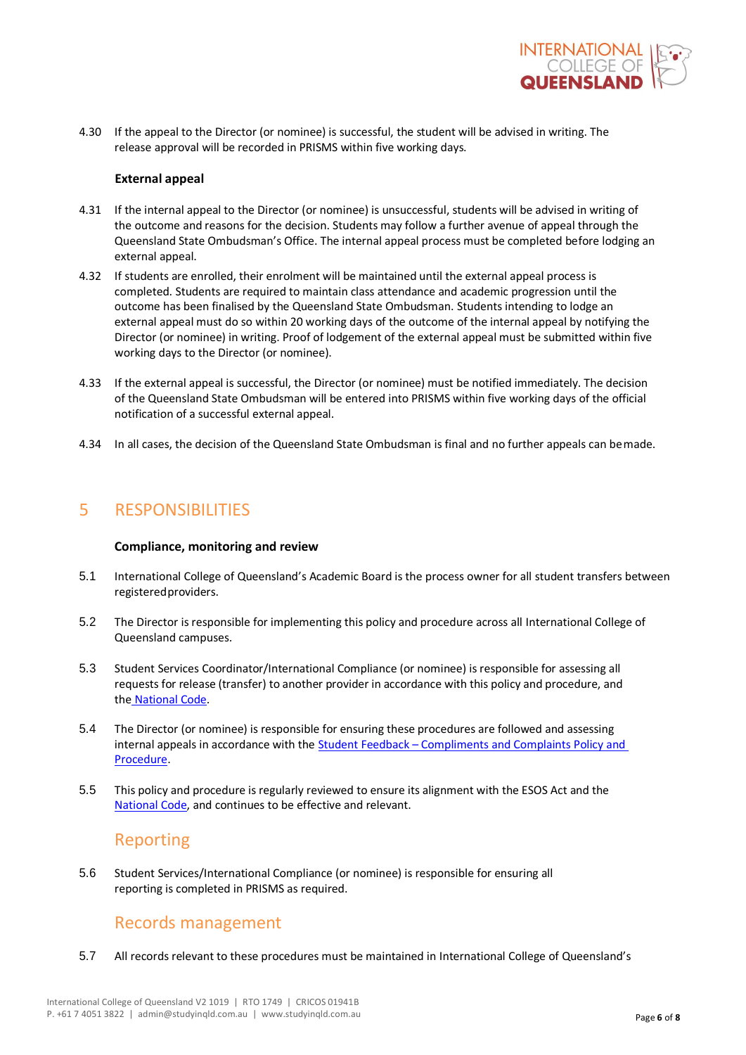

4.30 If the appeal to the Director (or nominee) is successful, the student will be advised in writing. The release approval will be recorded in PRISMS within five working days.

#### **External appeal**

- 4.31 If the internal appeal to the Director (or nominee) is unsuccessful, students will be advised in writing of the outcome and reasons for the decision. Students may follow a further avenue of appeal through the Queensland State Ombudsman's Office. The internal appeal process must be completed before lodging an external appeal.
- 4.32 If students are enrolled, their enrolment will be maintained until the external appeal process is completed. Students are required to maintain class attendance and academic progression until the outcome has been finalised by the Queensland State Ombudsman. Students intending to lodge an external appeal must do so within 20 working days of the outcome of the internal appeal by notifying the Director (or nominee) in writing. Proof of lodgement of the external appeal must be submitted within five working days to the Director (or nominee).
- 4.33 If the external appeal is successful, the Director (or nominee) must be notified immediately. The decision of the Queensland State Ombudsman will be entered into PRISMS within five working days of the official notification of a successful external appeal.
- 4.34 In all cases, the decision of the Queensland State Ombudsman is final and no further appeals can bemade.

# 5 RESPONSIBILITIES

### **Compliance, monitoring and review**

- 5.1 International College of Queensland's Academic Board is the process owner for all student transfers between registeredproviders.
- 5.2 The Director is responsible for implementing this policy and procedure across all International College of Queensland campuses.
- 5.3 Student Services Coordinator/International Compliance (or nominee) is responsible for assessing all requests for release (transfer) to another provider in accordance with this policy and procedure, and the [National](https://www.legislation.gov.au/Browse/ByTitle/Acts/InForce/0/0/Principal) Code.
- 5.4 The Director (or nominee) is responsible for ensuring these procedures are followed and assessing internal appeals in accordance with the Student Feedback – Compliments and Complaints Policy and Procedure.
- 5.5 This policy and procedure is regularly reviewed to ensure its alignment with the ESOS Act and the [National](https://www.legislation.gov.au/Browse/ByTitle/Acts/InForce/0/0/Principal) [Code, a](https://www.legislation.gov.au/Browse/ByTitle/Acts/InForce/0/0/Principal)nd continues to be effective and relevant.

## Reporting

5.6 Student Services/International Compliance (or nominee) is responsible for ensuring all reporting is completed in PRISMS as required.

# Records management

5.7 All records relevant to these procedures must be maintained in International College of Queensland's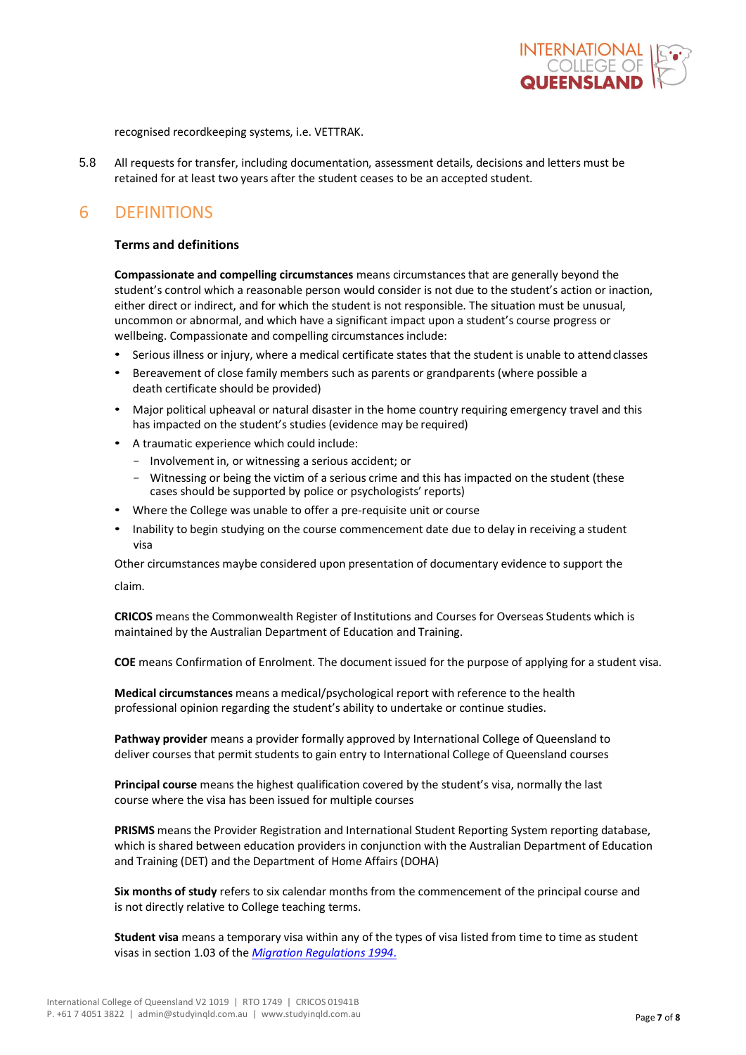

recognised recordkeeping systems, i.e. VETTRAK.

5.8 All requests for transfer, including documentation, assessment details, decisions and letters must be retained for at least two years after the student ceases to be an accepted student.

# 6 DEFINITIONS

### **Terms and definitions**

**Compassionate and compelling circumstances** means circumstances that are generally beyond the student's control which a reasonable person would consider is not due to the student's action or inaction, either direct or indirect, and for which the student is not responsible. The situation must be unusual, uncommon or abnormal, and which have a significant impact upon a student's course progress or wellbeing. Compassionate and compelling circumstances include:

- Serious illness or injury, where a medical certificate states that the student is unable to attendclasses
- Bereavement of close family members such as parents or grandparents (where possible a death certificate should be provided)
- Major political upheaval or natural disaster in the home country requiring emergency travel and this has impacted on the student's studies (evidence may be required)
- A traumatic experience which could include:
	- Involvement in, or witnessing a serious accident; or
	- Witnessing or being the victim of a serious crime and this has impacted on the student (these cases should be supported by police or psychologists' reports)
- Where the College was unable to offer a pre-requisite unit or course
- Inability to begin studying on the course commencement date due to delay in receiving a student visa

Other circumstances maybe considered upon presentation of documentary evidence to support the

claim.

**CRICOS** means the Commonwealth Register of Institutions and Courses for Overseas Students which is maintained by the Australian Department of Education and Training.

**COE** means Confirmation of Enrolment. The document issued for the purpose of applying for a student visa.

**Medical circumstances** means a medical/psychological report with reference to the health professional opinion regarding the student's ability to undertake or continue studies.

**Pathway provider** means a provider formally approved by International College of Queensland to deliver courses that permit students to gain entry to International College of Queensland courses

**Principal course** means the highest qualification covered by the student's visa, normally the last course where the visa has been issued for multiple courses

**PRISMS** means the Provider Registration and International Student Reporting System reporting database, which is shared between education providers in conjunction with the Australian Department of Education and Training (DET) and the Department of Home Affairs (DOHA)

**Six months of study** refers to six calendar months from the commencement of the principal course and is not directly relative to College teaching terms.

**Student visa** means a temporary visa within any of the types of visa listed from time to time as student visas in section 1.03 of the *[Migration Regulations 1994](https://www.legislation.gov.au/Browse/ByTitle/LegislativeInstruments/InForce/0/0/Principal)*.